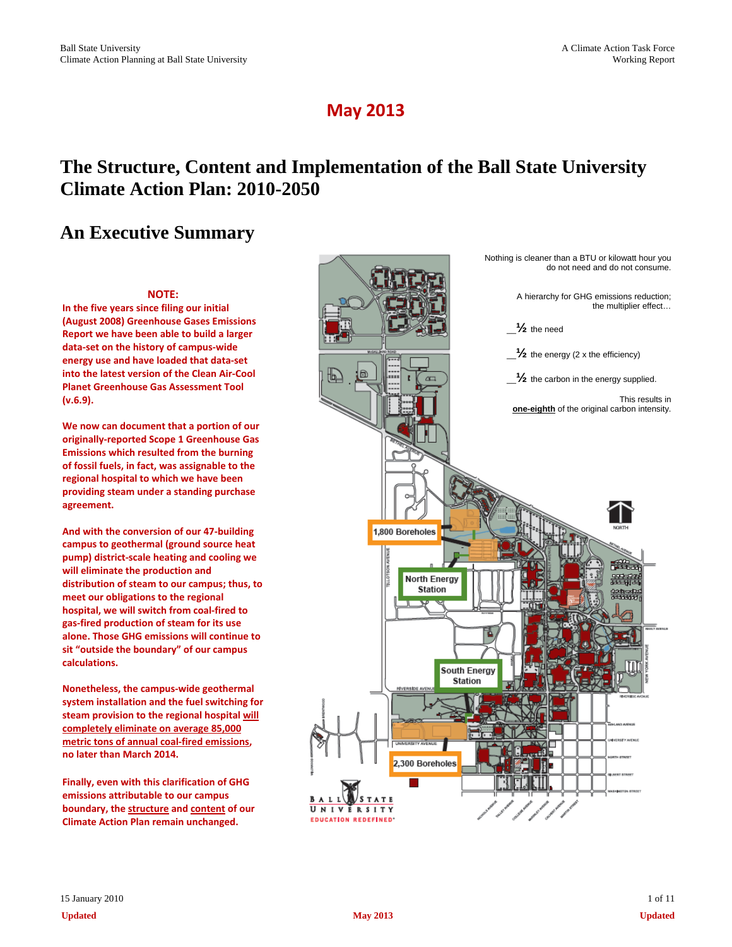# **May 2013**

# **The Structure, Content and Implementation of the Ball State University Climate Action Plan: 2010-2050**

# **An Executive Summary**

**(v.6.9).**

**agreement.** 

**calculations.**

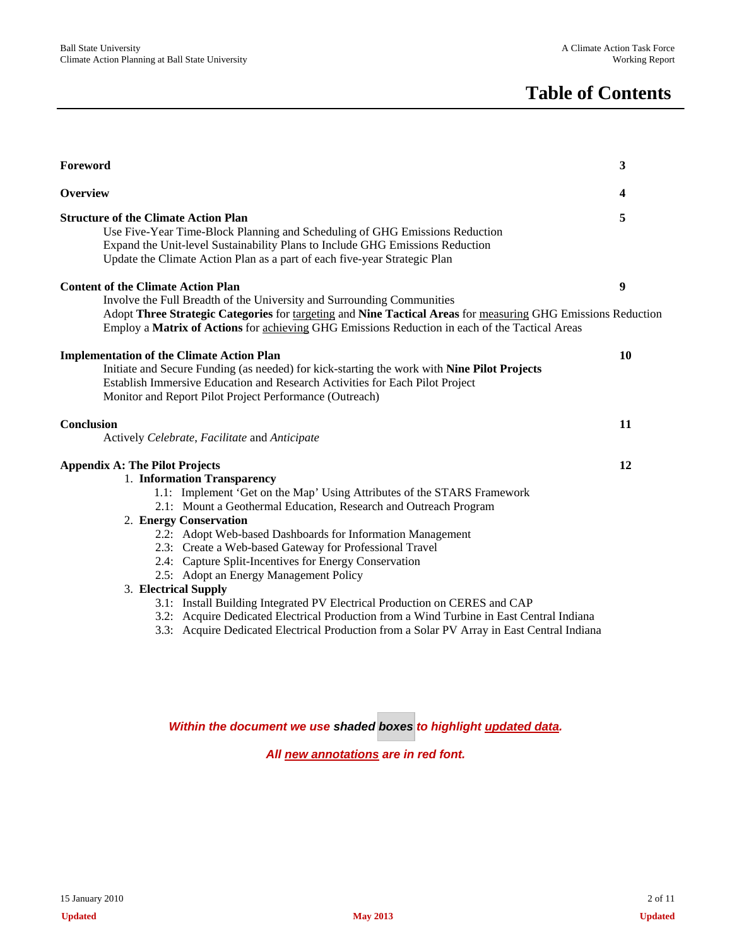# **Table of Contents**

| Foreword                                                                                                                                                                                                                                                                                                                                                                                                                                                                                                                                                                                                                                                                                                                                                                  | 3                       |
|---------------------------------------------------------------------------------------------------------------------------------------------------------------------------------------------------------------------------------------------------------------------------------------------------------------------------------------------------------------------------------------------------------------------------------------------------------------------------------------------------------------------------------------------------------------------------------------------------------------------------------------------------------------------------------------------------------------------------------------------------------------------------|-------------------------|
| Overview                                                                                                                                                                                                                                                                                                                                                                                                                                                                                                                                                                                                                                                                                                                                                                  | $\overline{\mathbf{4}}$ |
| <b>Structure of the Climate Action Plan</b><br>Use Five-Year Time-Block Planning and Scheduling of GHG Emissions Reduction<br>Expand the Unit-level Sustainability Plans to Include GHG Emissions Reduction<br>Update the Climate Action Plan as a part of each five-year Strategic Plan                                                                                                                                                                                                                                                                                                                                                                                                                                                                                  | 5                       |
| <b>Content of the Climate Action Plan</b><br>Involve the Full Breadth of the University and Surrounding Communities<br>Adopt Three Strategic Categories for targeting and Nine Tactical Areas for measuring GHG Emissions Reduction<br>Employ a Matrix of Actions for achieving GHG Emissions Reduction in each of the Tactical Areas                                                                                                                                                                                                                                                                                                                                                                                                                                     | 9                       |
| <b>Implementation of the Climate Action Plan</b><br>Initiate and Secure Funding (as needed) for kick-starting the work with Nine Pilot Projects<br>Establish Immersive Education and Research Activities for Each Pilot Project<br>Monitor and Report Pilot Project Performance (Outreach)                                                                                                                                                                                                                                                                                                                                                                                                                                                                                | 10                      |
| Conclusion<br>Actively Celebrate, Facilitate and Anticipate                                                                                                                                                                                                                                                                                                                                                                                                                                                                                                                                                                                                                                                                                                               | 11                      |
| <b>Appendix A: The Pilot Projects</b><br>1. Information Transparency<br>1.1: Implement 'Get on the Map' Using Attributes of the STARS Framework<br>2.1: Mount a Geothermal Education, Research and Outreach Program<br>2. Energy Conservation<br>2.2: Adopt Web-based Dashboards for Information Management<br>2.3: Create a Web-based Gateway for Professional Travel<br>2.4: Capture Split-Incentives for Energy Conservation<br>2.5: Adopt an Energy Management Policy<br>3. Electrical Supply<br>3.1: Install Building Integrated PV Electrical Production on CERES and CAP<br>3.2: Acquire Dedicated Electrical Production from a Wind Turbine in East Central Indiana<br>3.3: Acquire Dedicated Electrical Production from a Solar PV Array in East Central Indiana | 12                      |
| Within the document we use shaded boxes to highlight updated data.                                                                                                                                                                                                                                                                                                                                                                                                                                                                                                                                                                                                                                                                                                        |                         |

*All new annotations are in red font.*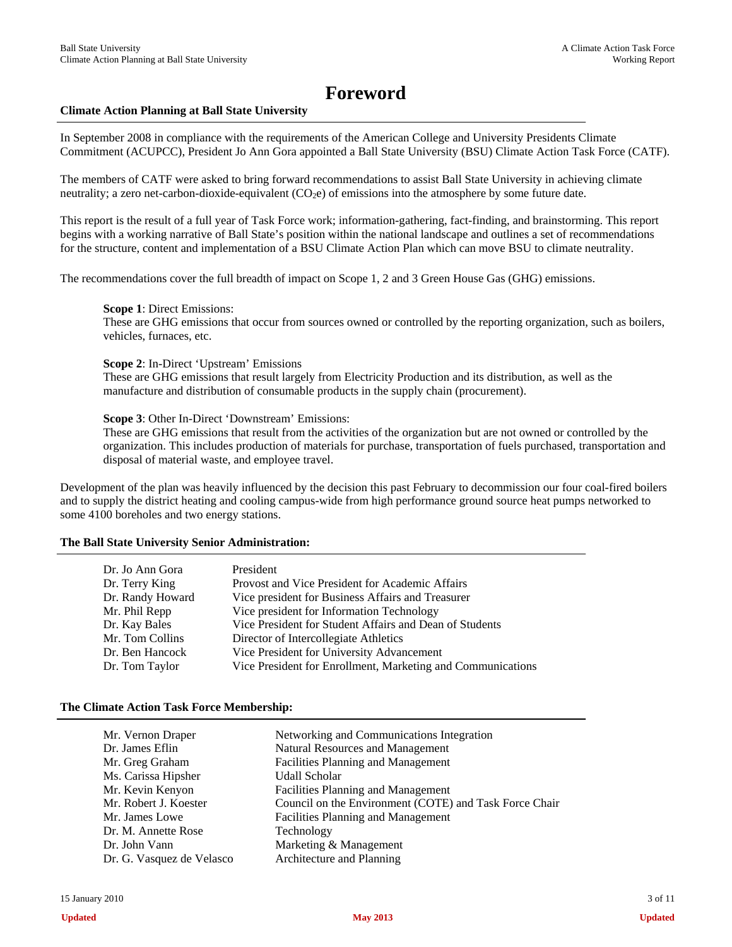# **Foreword**

#### **Climate Action Planning at Ball State University**

In September 2008 in compliance with the requirements of the American College and University Presidents Climate Commitment (ACUPCC), President Jo Ann Gora appointed a Ball State University (BSU) Climate Action Task Force (CATF).

The members of CATF were asked to bring forward recommendations to assist Ball State University in achieving climate neutrality; a zero net-carbon-dioxide-equivalent  $(CO<sub>2</sub>e)$  of emissions into the atmosphere by some future date.

This report is the result of a full year of Task Force work; information-gathering, fact-finding, and brainstorming. This report begins with a working narrative of Ball State's position within the national landscape and outlines a set of recommendations for the structure, content and implementation of a BSU Climate Action Plan which can move BSU to climate neutrality.

The recommendations cover the full breadth of impact on Scope 1, 2 and 3 Green House Gas (GHG) emissions.

**Scope 1**: Direct Emissions:

These are GHG emissions that occur from sources owned or controlled by the reporting organization, such as boilers, vehicles, furnaces, etc.

**Scope 2**: In-Direct 'Upstream' Emissions

These are GHG emissions that result largely from Electricity Production and its distribution, as well as the manufacture and distribution of consumable products in the supply chain (procurement).

**Scope 3**: Other In-Direct 'Downstream' Emissions:

These are GHG emissions that result from the activities of the organization but are not owned or controlled by the organization. This includes production of materials for purchase, transportation of fuels purchased, transportation and disposal of material waste, and employee travel.

Development of the plan was heavily influenced by the decision this past February to decommission our four coal-fired boilers and to supply the district heating and cooling campus-wide from high performance ground source heat pumps networked to some 4100 boreholes and two energy stations.

#### **The Ball State University Senior Administration:**

| Dr. Jo Ann Gora  | President                                                   |
|------------------|-------------------------------------------------------------|
| Dr. Terry King   | Provost and Vice President for Academic Affairs             |
| Dr. Randy Howard | Vice president for Business Affairs and Treasurer           |
| Mr. Phil Repp    | Vice president for Information Technology                   |
| Dr. Kay Bales    | Vice President for Student Affairs and Dean of Students     |
| Mr. Tom Collins  | Director of Intercollegiate Athletics                       |
|                  |                                                             |
| Dr. Ben Hancock  | Vice President for University Advancement                   |
| Dr. Tom Taylor   | Vice President for Enrollment, Marketing and Communications |

#### **The Climate Action Task Force Membership:**

| Mr. Vernon Draper<br>Dr. James Eflin<br>Mr. Greg Graham | Networking and Communications Integration<br>Natural Resources and Management<br><b>Facilities Planning and Management</b> |
|---------------------------------------------------------|----------------------------------------------------------------------------------------------------------------------------|
| Ms. Carissa Hipsher                                     | <b>Udall Scholar</b>                                                                                                       |
| Mr. Kevin Kenyon                                        | <b>Facilities Planning and Management</b>                                                                                  |
| Mr. Robert J. Koester                                   | Council on the Environment (COTE) and Task Force Chair                                                                     |
| Mr. James Lowe                                          | <b>Facilities Planning and Management</b>                                                                                  |
| Dr. M. Annette Rose                                     | Technology                                                                                                                 |
| Dr. John Vann                                           | Marketing & Management                                                                                                     |
| Dr. G. Vasquez de Velasco                               | Architecture and Planning                                                                                                  |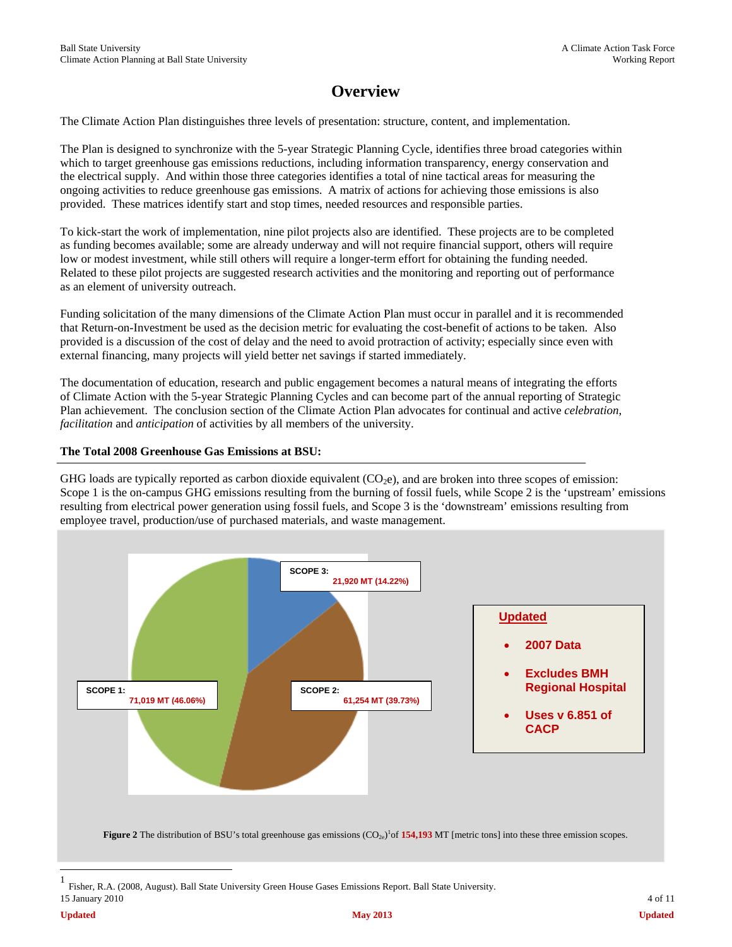# **Overview**

The Climate Action Plan distinguishes three levels of presentation: structure, content, and implementation.

The Plan is designed to synchronize with the 5-year Strategic Planning Cycle, identifies three broad categories within which to target greenhouse gas emissions reductions, including information transparency, energy conservation and the electrical supply. And within those three categories identifies a total of nine tactical areas for measuring the ongoing activities to reduce greenhouse gas emissions. A matrix of actions for achieving those emissions is also provided. These matrices identify start and stop times, needed resources and responsible parties.

To kick-start the work of implementation, nine pilot projects also are identified. These projects are to be completed as funding becomes available; some are already underway and will not require financial support, others will require low or modest investment, while still others will require a longer-term effort for obtaining the funding needed. Related to these pilot projects are suggested research activities and the monitoring and reporting out of performance as an element of university outreach.

Funding solicitation of the many dimensions of the Climate Action Plan must occur in parallel and it is recommended that Return-on-Investment be used as the decision metric for evaluating the cost-benefit of actions to be taken. Also provided is a discussion of the cost of delay and the need to avoid protraction of activity; especially since even with external financing, many projects will yield better net savings if started immediately.

The documentation of education, research and public engagement becomes a natural means of integrating the efforts of Climate Action with the 5-year Strategic Planning Cycles and can become part of the annual reporting of Strategic Plan achievement. The conclusion section of the Climate Action Plan advocates for continual and active *celebration*, *facilitation* and *anticipation* of activities by all members of the university.

### **The Total 2008 Greenhouse Gas Emissions at BSU:**

GHG loads are typically reported as carbon dioxide equivalent  $(CO<sub>2</sub>e)$ , and are broken into three scopes of emission: Scope 1 is the on-campus GHG emissions resulting from the burning of fossil fuels, while Scope 2 is the 'upstream' emissions resulting from electrical power generation using fossil fuels, and Scope 3 is the 'downstream' emissions resulting from employee travel, production/use of purchased materials, and waste management.



<sup>15</sup> January 2010 4 of 11 1 Fisher, R.A. (2008, August). Ball State University Green House Gases Emissions Report. Ball State University.

 $\overline{a}$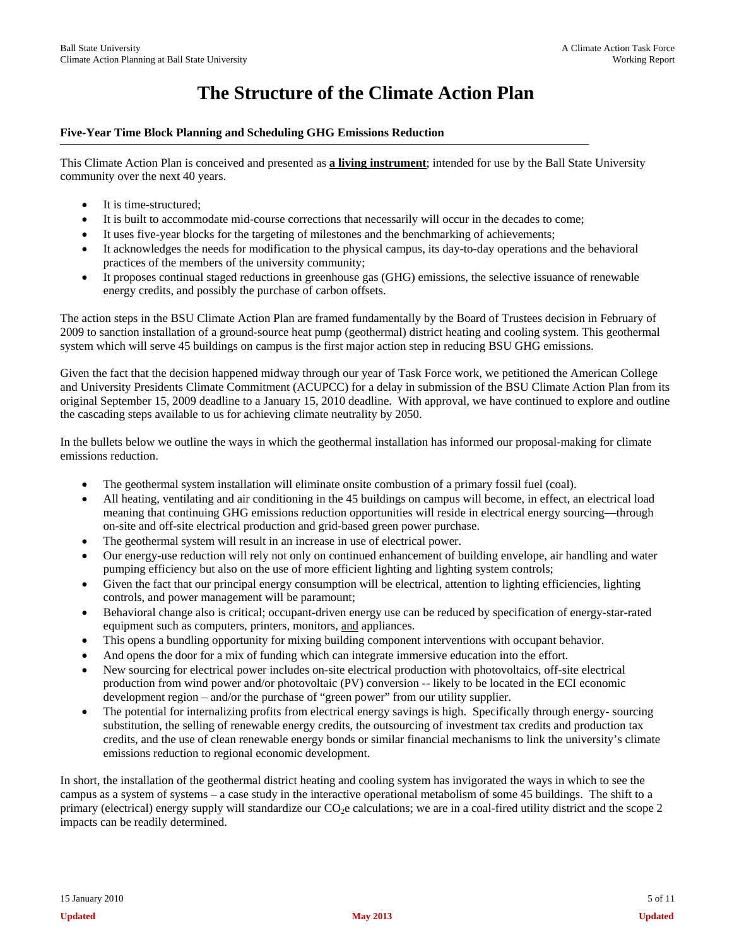# **The Structure of the Climate Action Plan**

## **Five-Year Time Block Planning and Scheduling GHG Emissions Reduction**

This Climate Action Plan is conceived and presented as **a living instrument**; intended for use by the Ball State University community over the next 40 years.

- It is time-structured;
- It is built to accommodate mid-course corrections that necessarily will occur in the decades to come;
- It uses five-year blocks for the targeting of milestones and the benchmarking of achievements;
- It acknowledges the needs for modification to the physical campus, its day-to-day operations and the behavioral practices of the members of the university community;
- It proposes continual staged reductions in greenhouse gas (GHG) emissions, the selective issuance of renewable energy credits, and possibly the purchase of carbon offsets.

The action steps in the BSU Climate Action Plan are framed fundamentally by the Board of Trustees decision in February of 2009 to sanction installation of a ground-source heat pump (geothermal) district heating and cooling system. This geothermal system which will serve 45 buildings on campus is the first major action step in reducing BSU GHG emissions.

Given the fact that the decision happened midway through our year of Task Force work, we petitioned the American College and University Presidents Climate Commitment (ACUPCC) for a delay in submission of the BSU Climate Action Plan from its original September 15, 2009 deadline to a January 15, 2010 deadline. With approval, we have continued to explore and outline the cascading steps available to us for achieving climate neutrality by 2050.

In the bullets below we outline the ways in which the geothermal installation has informed our proposal-making for climate emissions reduction.

- The geothermal system installation will eliminate onsite combustion of a primary fossil fuel (coal).
- All heating, ventilating and air conditioning in the 45 buildings on campus will become, in effect, an electrical load meaning that continuing GHG emissions reduction opportunities will reside in electrical energy sourcing—through on-site and off-site electrical production and grid-based green power purchase.
- The geothermal system will result in an increase in use of electrical power.
- Our energy-use reduction will rely not only on continued enhancement of building envelope, air handling and water pumping efficiency but also on the use of more efficient lighting and lighting system controls;
- Given the fact that our principal energy consumption will be electrical, attention to lighting efficiencies, lighting controls, and power management will be paramount;
- Behavioral change also is critical; occupant-driven energy use can be reduced by specification of energy-star-rated equipment such as computers, printers, monitors, and appliances.
- This opens a bundling opportunity for mixing building component interventions with occupant behavior.
- And opens the door for a mix of funding which can integrate immersive education into the effort.
- New sourcing for electrical power includes on-site electrical production with photovoltaics, off-site electrical production from wind power and/or photovoltaic (PV) conversion -- likely to be located in the ECI economic development region – and/or the purchase of "green power" from our utility supplier.
- The potential for internalizing profits from electrical energy savings is high. Specifically through energy- sourcing substitution, the selling of renewable energy credits, the outsourcing of investment tax credits and production tax credits, and the use of clean renewable energy bonds or similar financial mechanisms to link the university's climate emissions reduction to regional economic development.

In short, the installation of the geothermal district heating and cooling system has invigorated the ways in which to see the campus as a system of systems – a case study in the interactive operational metabolism of some 45 buildings. The shift to a primary (electrical) energy supply will standardize our CO<sub>2</sub>e calculations; we are in a coal-fired utility district and the scope 2 impacts can be readily determined.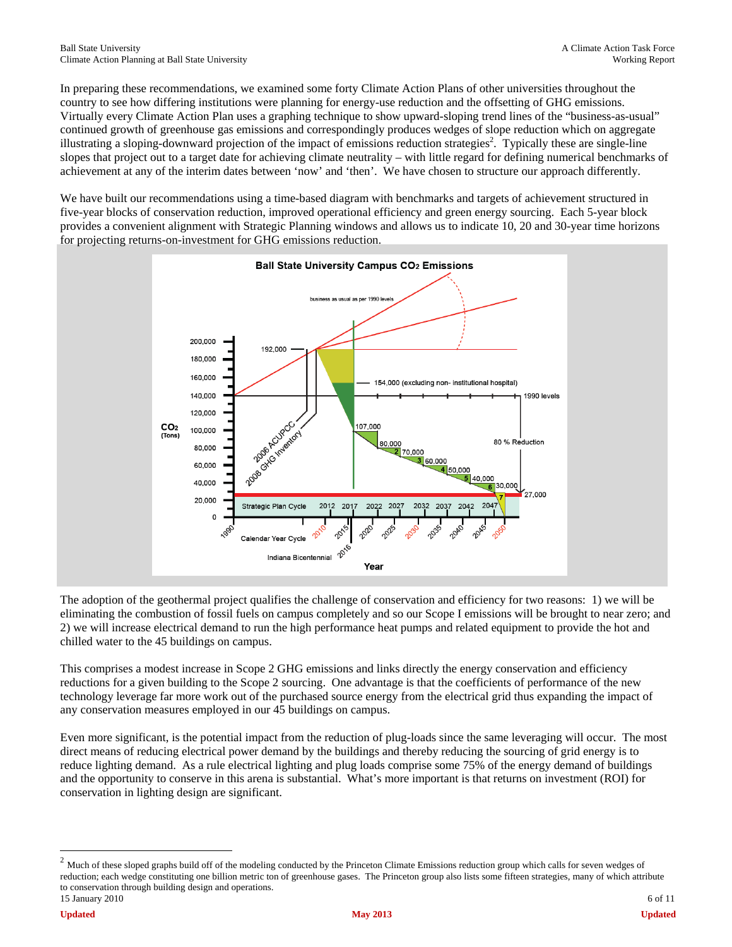In preparing these recommendations, we examined some forty Climate Action Plans of other universities throughout the country to see how differing institutions were planning for energy-use reduction and the offsetting of GHG emissions. Virtually every Climate Action Plan uses a graphing technique to show upward-sloping trend lines of the "business-as-usual" continued growth of greenhouse gas emissions and correspondingly produces wedges of slope reduction which on aggregate illustrating a sloping-downward projection of the impact of emissions reduction strategies<sup>2</sup>. Typically these are single-line slopes that project out to a target date for achieving climate neutrality – with little regard for defining numerical benchmarks of achievement at any of the interim dates between 'now' and 'then'. We have chosen to structure our approach differently.

We have built our recommendations using a time-based diagram with benchmarks and targets of achievement structured in five-year blocks of conservation reduction, improved operational efficiency and green energy sourcing. Each 5-year block provides a convenient alignment with Strategic Planning windows and allows us to indicate 10, 20 and 30-year time horizons for projecting returns-on-investment for GHG emissions reduction.



The adoption of the geothermal project qualifies the challenge of conservation and efficiency for two reasons: 1) we will be eliminating the combustion of fossil fuels on campus completely and so our Scope I emissions will be brought to near zero; and 2) we will increase electrical demand to run the high performance heat pumps and related equipment to provide the hot and chilled water to the 45 buildings on campus.

This comprises a modest increase in Scope 2 GHG emissions and links directly the energy conservation and efficiency reductions for a given building to the Scope 2 sourcing. One advantage is that the coefficients of performance of the new technology leverage far more work out of the purchased source energy from the electrical grid thus expanding the impact of any conservation measures employed in our 45 buildings on campus.

Even more significant, is the potential impact from the reduction of plug-loads since the same leveraging will occur. The most direct means of reducing electrical power demand by the buildings and thereby reducing the sourcing of grid energy is to reduce lighting demand. As a rule electrical lighting and plug loads comprise some 75% of the energy demand of buildings and the opportunity to conserve in this arena is substantial. What's more important is that returns on investment (ROI) for conservation in lighting design are significant.

 $\overline{a}$ 

<sup>15</sup> January 2010 6 of 11  $2$  Much of these sloped graphs build off of the modeling conducted by the Princeton Climate Emissions reduction group which calls for seven wedges of reduction; each wedge constituting one billion metric ton of greenhouse gases. The Princeton group also lists some fifteen strategies, many of which attribute to conservation through building design and operations.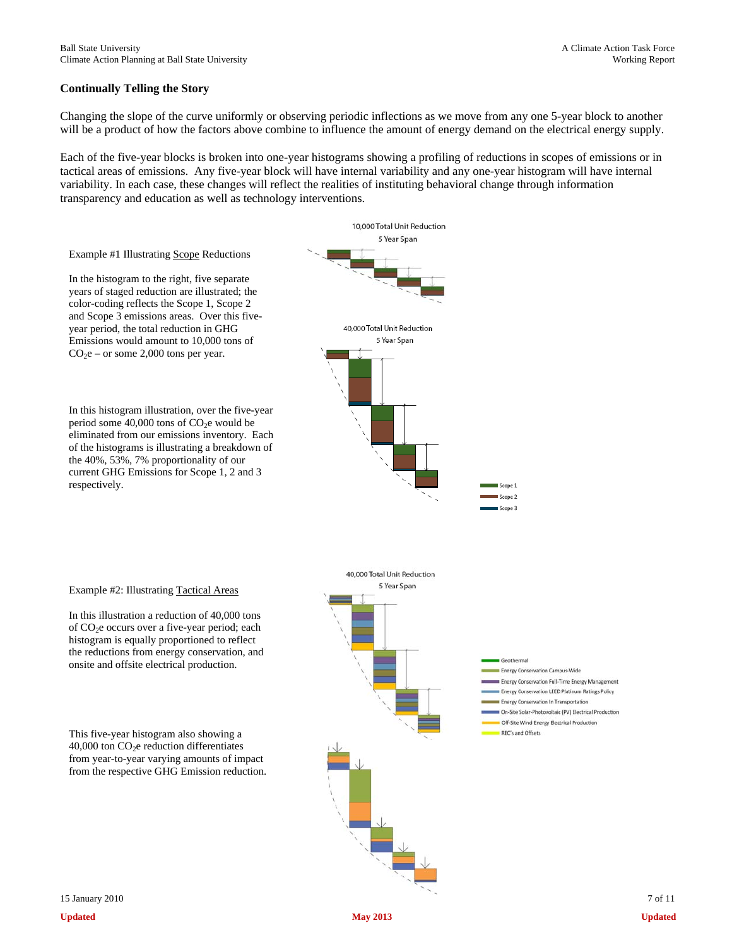### **Continually Telling the Story**

Changing the slope of the curve uniformly or observing periodic inflections as we move from any one 5-year block to another will be a product of how the factors above combine to influence the amount of energy demand on the electrical energy supply.

Each of the five-year blocks is broken into one-year histograms showing a profiling of reductions in scopes of emissions or in tactical areas of emissions. Any five-year block will have internal variability and any one-year histogram will have internal variability. In each case, these changes will reflect the realities of instituting behavioral change through information transparency and education as well as technology interventions.

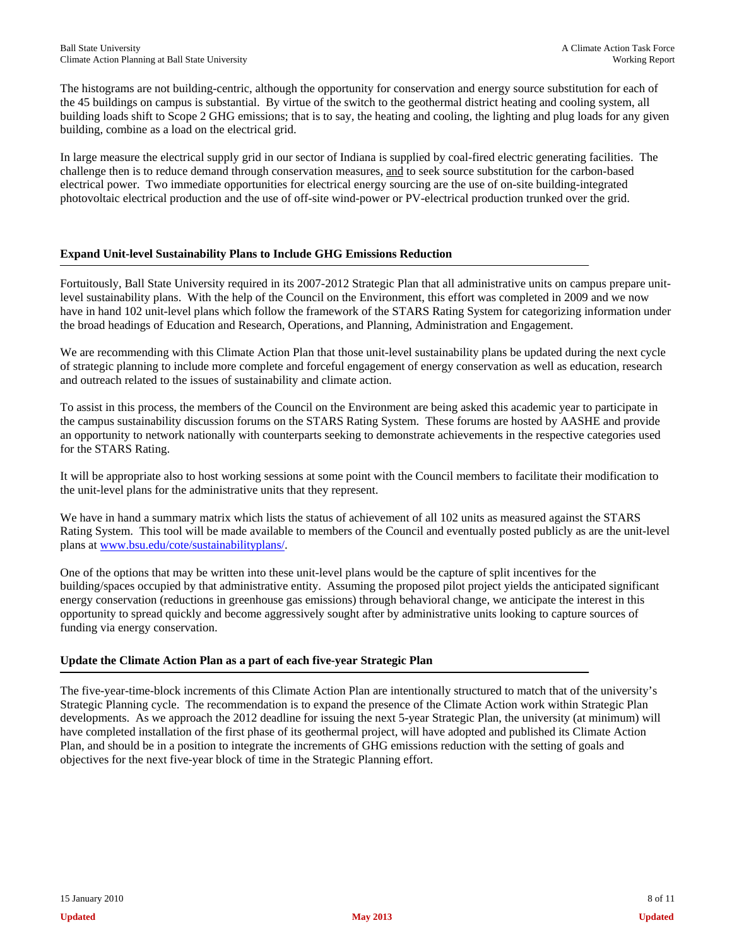The histograms are not building-centric, although the opportunity for conservation and energy source substitution for each of the 45 buildings on campus is substantial. By virtue of the switch to the geothermal district heating and cooling system, all building loads shift to Scope 2 GHG emissions; that is to say, the heating and cooling, the lighting and plug loads for any given building, combine as a load on the electrical grid.

In large measure the electrical supply grid in our sector of Indiana is supplied by coal-fired electric generating facilities. The challenge then is to reduce demand through conservation measures, and to seek source substitution for the carbon-based electrical power. Two immediate opportunities for electrical energy sourcing are the use of on-site building-integrated photovoltaic electrical production and the use of off-site wind-power or PV-electrical production trunked over the grid.

## **Expand Unit-level Sustainability Plans to Include GHG Emissions Reduction**

Fortuitously, Ball State University required in its 2007-2012 Strategic Plan that all administrative units on campus prepare unitlevel sustainability plans. With the help of the Council on the Environment, this effort was completed in 2009 and we now have in hand 102 unit-level plans which follow the framework of the STARS Rating System for categorizing information under the broad headings of Education and Research, Operations, and Planning, Administration and Engagement.

We are recommending with this Climate Action Plan that those unit-level sustainability plans be updated during the next cycle of strategic planning to include more complete and forceful engagement of energy conservation as well as education, research and outreach related to the issues of sustainability and climate action.

To assist in this process, the members of the Council on the Environment are being asked this academic year to participate in the campus sustainability discussion forums on the STARS Rating System. These forums are hosted by AASHE and provide an opportunity to network nationally with counterparts seeking to demonstrate achievements in the respective categories used for the STARS Rating.

It will be appropriate also to host working sessions at some point with the Council members to facilitate their modification to the unit-level plans for the administrative units that they represent.

We have in hand a summary matrix which lists the status of achievement of all 102 units as measured against the STARS Rating System. This tool will be made available to members of the Council and eventually posted publicly as are the unit-level plans at www.bsu.edu/cote/sustainabilityplans/.

One of the options that may be written into these unit-level plans would be the capture of split incentives for the building/spaces occupied by that administrative entity. Assuming the proposed pilot project yields the anticipated significant energy conservation (reductions in greenhouse gas emissions) through behavioral change, we anticipate the interest in this opportunity to spread quickly and become aggressively sought after by administrative units looking to capture sources of funding via energy conservation.

## **Update the Climate Action Plan as a part of each five-year Strategic Plan**

The five-year-time-block increments of this Climate Action Plan are intentionally structured to match that of the university's Strategic Planning cycle. The recommendation is to expand the presence of the Climate Action work within Strategic Plan developments. As we approach the 2012 deadline for issuing the next 5-year Strategic Plan, the university (at minimum) will have completed installation of the first phase of its geothermal project, will have adopted and published its Climate Action Plan, and should be in a position to integrate the increments of GHG emissions reduction with the setting of goals and objectives for the next five-year block of time in the Strategic Planning effort.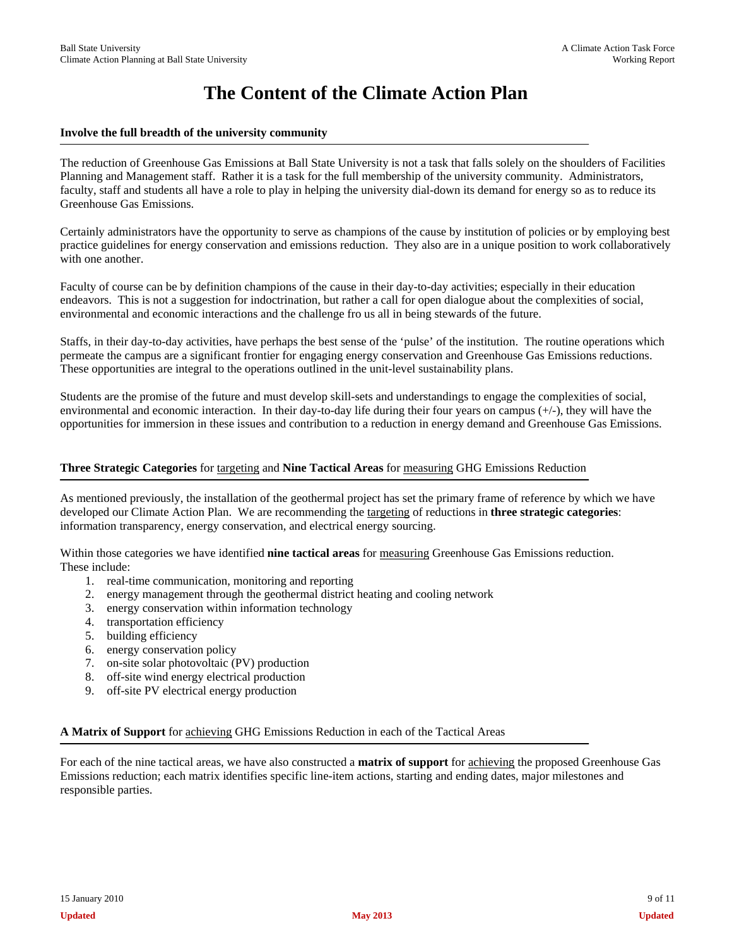# **The Content of the Climate Action Plan**

### **Involve the full breadth of the university community**

The reduction of Greenhouse Gas Emissions at Ball State University is not a task that falls solely on the shoulders of Facilities Planning and Management staff. Rather it is a task for the full membership of the university community. Administrators, faculty, staff and students all have a role to play in helping the university dial-down its demand for energy so as to reduce its Greenhouse Gas Emissions.

Certainly administrators have the opportunity to serve as champions of the cause by institution of policies or by employing best practice guidelines for energy conservation and emissions reduction. They also are in a unique position to work collaboratively with one another.

Faculty of course can be by definition champions of the cause in their day-to-day activities; especially in their education endeavors. This is not a suggestion for indoctrination, but rather a call for open dialogue about the complexities of social, environmental and economic interactions and the challenge fro us all in being stewards of the future.

Staffs, in their day-to-day activities, have perhaps the best sense of the 'pulse' of the institution. The routine operations which permeate the campus are a significant frontier for engaging energy conservation and Greenhouse Gas Emissions reductions. These opportunities are integral to the operations outlined in the unit-level sustainability plans.

Students are the promise of the future and must develop skill-sets and understandings to engage the complexities of social, environmental and economic interaction. In their day-to-day life during their four years on campus  $(+)$ , they will have the opportunities for immersion in these issues and contribution to a reduction in energy demand and Greenhouse Gas Emissions.

### **Three Strategic Categories** for targeting and **Nine Tactical Areas** for measuring GHG Emissions Reduction

As mentioned previously, the installation of the geothermal project has set the primary frame of reference by which we have developed our Climate Action Plan. We are recommending the targeting of reductions in **three strategic categories**: information transparency, energy conservation, and electrical energy sourcing.

Within those categories we have identified **nine tactical areas** for measuring Greenhouse Gas Emissions reduction. These include:

- 1. real-time communication, monitoring and reporting
- 2. energy management through the geothermal district heating and cooling network
- 3. energy conservation within information technology
- 4. transportation efficiency
- 5. building efficiency
- 6. energy conservation policy
- 7. on-site solar photovoltaic (PV) production
- 8. off-site wind energy electrical production
- 9. off-site PV electrical energy production

**A Matrix of Support** for achieving GHG Emissions Reduction in each of the Tactical Areas

For each of the nine tactical areas, we have also constructed a **matrix of support** for achieving the proposed Greenhouse Gas Emissions reduction; each matrix identifies specific line-item actions, starting and ending dates, major milestones and responsible parties.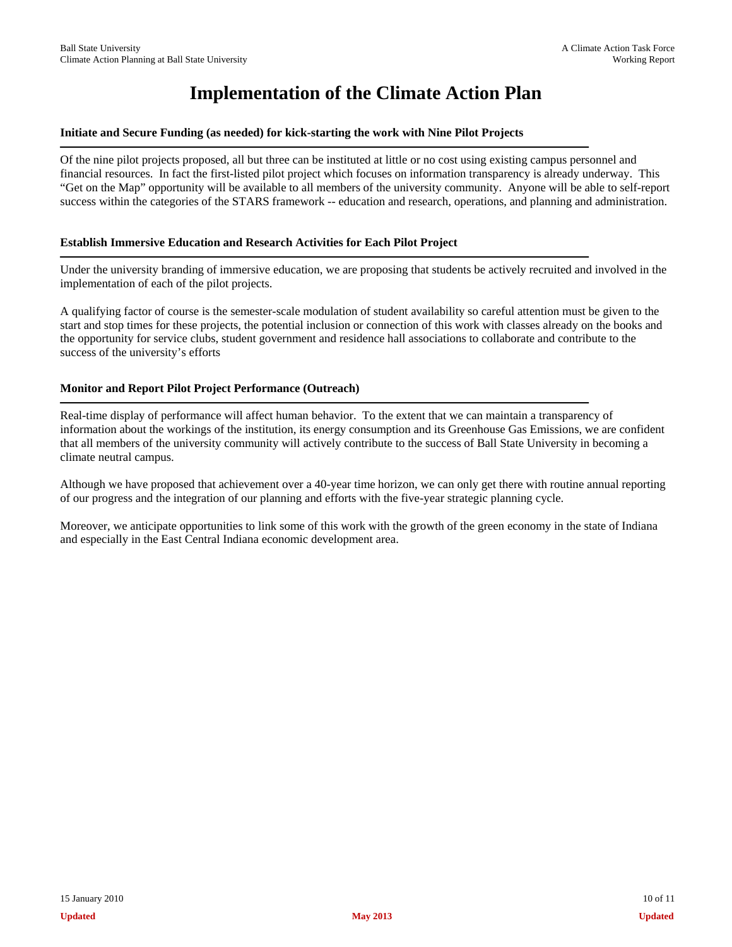# **Implementation of the Climate Action Plan**

### **Initiate and Secure Funding (as needed) for kick-starting the work with Nine Pilot Projects**

Of the nine pilot projects proposed, all but three can be instituted at little or no cost using existing campus personnel and financial resources. In fact the first-listed pilot project which focuses on information transparency is already underway. This "Get on the Map" opportunity will be available to all members of the university community. Anyone will be able to self-report success within the categories of the STARS framework -- education and research, operations, and planning and administration.

## **Establish Immersive Education and Research Activities for Each Pilot Project**

Under the university branding of immersive education, we are proposing that students be actively recruited and involved in the implementation of each of the pilot projects.

A qualifying factor of course is the semester-scale modulation of student availability so careful attention must be given to the start and stop times for these projects, the potential inclusion or connection of this work with classes already on the books and the opportunity for service clubs, student government and residence hall associations to collaborate and contribute to the success of the university's efforts

## **Monitor and Report Pilot Project Performance (Outreach)**

Real-time display of performance will affect human behavior. To the extent that we can maintain a transparency of information about the workings of the institution, its energy consumption and its Greenhouse Gas Emissions, we are confident that all members of the university community will actively contribute to the success of Ball State University in becoming a climate neutral campus.

Although we have proposed that achievement over a 40-year time horizon, we can only get there with routine annual reporting of our progress and the integration of our planning and efforts with the five-year strategic planning cycle.

Moreover, we anticipate opportunities to link some of this work with the growth of the green economy in the state of Indiana and especially in the East Central Indiana economic development area.